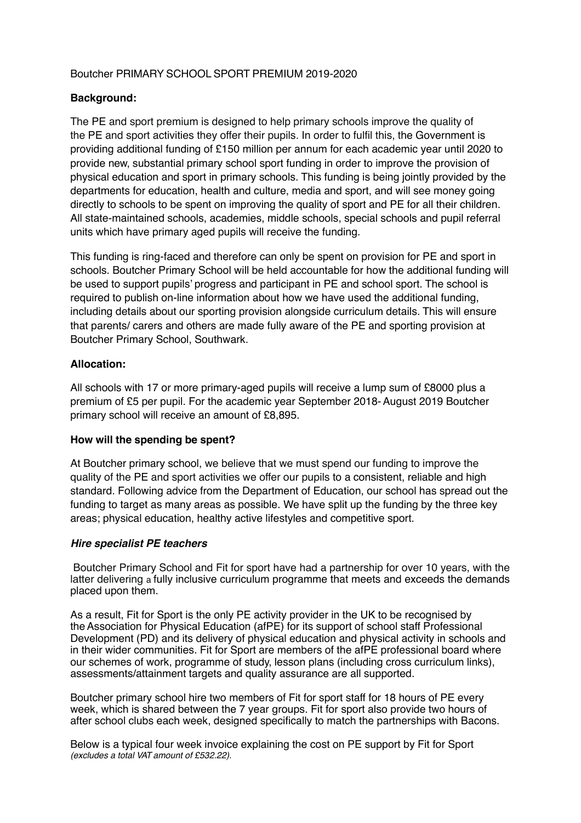# Boutcher PRIMARY SCHOOL SPORT PREMIUM 2019-2020

# **Background:**

The PE and sport premium is designed to help primary schools improve the quality of the PE and sport activities they offer their pupils. In order to fulfil this, the Government is providing additional funding of £150 million per annum for each academic year until 2020 to provide new, substantial primary school sport funding in order to improve the provision of physical education and sport in primary schools. This funding is being jointly provided by the departments for education, health and culture, media and sport, and will see money going directly to schools to be spent on improving the quality of sport and PE for all their children. All state-maintained schools, academies, middle schools, special schools and pupil referral units which have primary aged pupils will receive the funding.

This funding is ring-faced and therefore can only be spent on provision for PE and sport in schools. Boutcher Primary School will be held accountable for how the additional funding will be used to support pupils' progress and participant in PE and school sport. The school is required to publish on-line information about how we have used the additional funding, including details about our sporting provision alongside curriculum details. This will ensure that parents/ carers and others are made fully aware of the PE and sporting provision at Boutcher Primary School, Southwark.

# **Allocation:**

All schools with 17 or more primary-aged pupils will receive a lump sum of £8000 plus a premium of £5 per pupil. For the academic year September 2018-August 2019 Boutcher primary school will receive an amount of £8,895.

# **How will the spending be spent?**

At Boutcher primary school, we believe that we must spend our funding to improve the quality of the PE and sport activities we offer our pupils to a consistent, reliable and high standard. Following advice from the Department of Education, our school has spread out the funding to target as many areas as possible. We have split up the funding by the three key areas; physical education, healthy active lifestyles and competitive sport.

# *Hire specialist PE teachers*

Boutcher Primary School and Fit for sport have had a partnership for over 10 years, with the latter delivering a fully inclusive curriculum programme that meets and exceeds the demands placed upon them.

As a result, Fit for Sport is the only PE activity provider in the UK to be recognised by theAssociation for Physical Education (afPE) for its support of school staff Professional Development (PD) and its delivery of physical education and physical activity in schools and in their wider communities. Fit for Sport are members of the afPE professional board where our schemes of work, programme of study, lesson plans (including cross curriculum links), assessments/attainment targets and quality assurance are all supported.

Boutcher primary school hire two members of Fit for sport staff for 18 hours of PE every week, which is shared between the 7 year groups. Fit for sport also provide two hours of after school clubs each week, designed specifically to match the partnerships with Bacons.

Below is a typical four week invoice explaining the cost on PE support by Fit for Sport *(excludes a total VAT amount of £532.22).*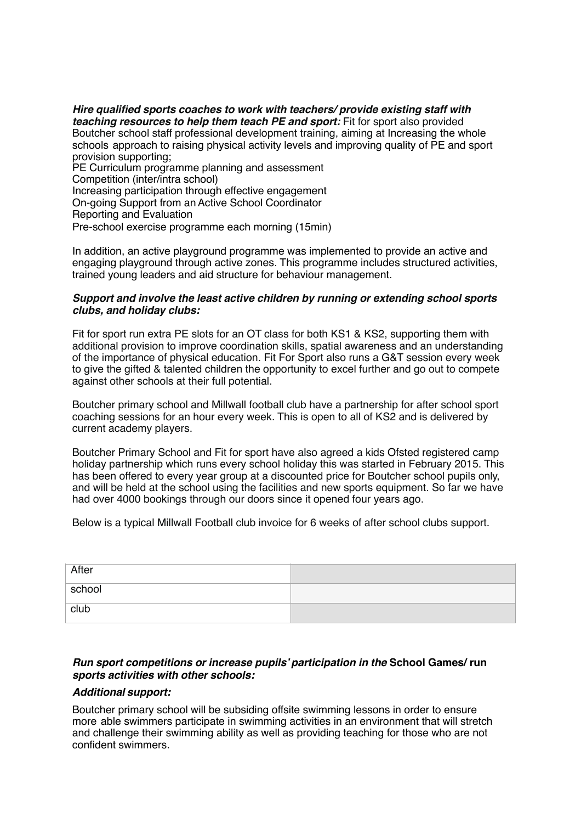*Hire qualified sports coaches to work with teachers/ provide existing staff with teaching resources to help them teach PE and sport:* Fit for sport also provided Boutcher school staff professional development training, aiming at Increasing the whole schools approach to raising physical activity levels and improving quality of PE and sport provision supporting; PE Curriculum programme planning and assessment Competition (inter/intra school) Increasing participation through effective engagement On-going Support from an Active School Coordinator Reporting and Evaluation

Pre-school exercise programme each morning (15min)

In addition, an active playground programme was implemented to provide an active and engaging playground through active zones. This programme includes structured activities, trained young leaders and aid structure for behaviour management.

#### *Support and involve the least active children by running or extending school sports clubs, and holiday clubs:*

Fit for sport run extra PE slots for an OT class for both KS1 & KS2, supporting them with additional provision to improve coordination skills, spatial awareness and an understanding of the importance of physical education. Fit For Sport also runs a G&T session every week to give the gifted & talented children the opportunity to excel further and go out to compete against other schools at their full potential.

Boutcher primary school and Millwall football club have a partnership for after school sport coaching sessions for an hour every week. This is open to all of KS2 and is delivered by current academy players.

Boutcher Primary School and Fit for sport have also agreed a kids Ofsted registered camp holiday partnership which runs every school holiday this was started in February 2015. This has been offered to every year group at a discounted price for Boutcher school pupils only, and will be held at the school using the facilities and new sports equipment. So far we have had over 4000 bookings through our doors since it opened four years ago.

Below is a typical Millwall Football club invoice for 6 weeks of after school clubs support.

| After  |  |
|--------|--|
| school |  |
| club   |  |

# *Run sport competitions or increase pupils' participation in the* **School Games/ run** *sports activities with other schools:*

#### *Additional support:*

Boutcher primary school will be subsiding offsite swimming lessons in order to ensure more able swimmers participate in swimming activities in an environment that will stretch and challenge their swimming ability as well as providing teaching for those who are not confident swimmers.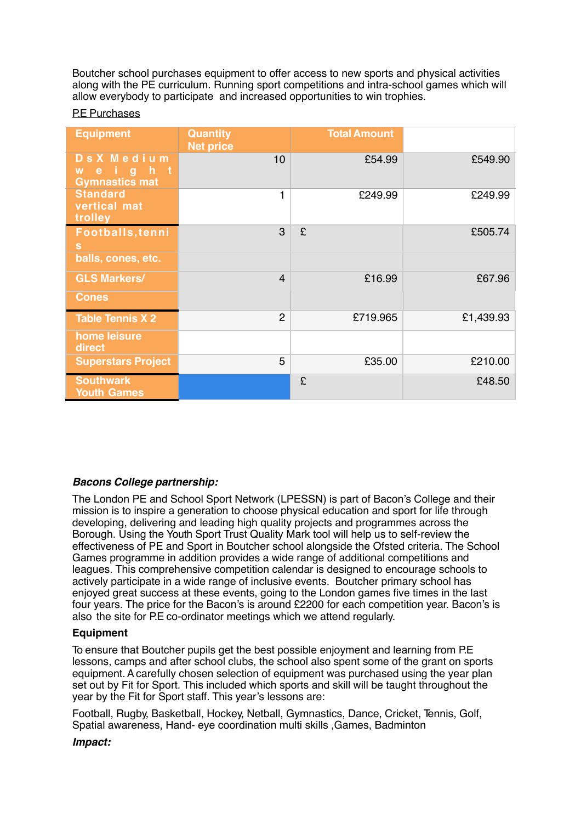Boutcher school purchases equipment to offer access to new sports and physical activities along with the PE curriculum. Running sport competitions and intra-school games which will allow everybody to participate and increased opportunities to win trophies.

#### P.E Purchases

| <b>Equipment</b>                                            | <b>Quantity</b><br><b>Net price</b> | <b>Total Amount</b> |           |
|-------------------------------------------------------------|-------------------------------------|---------------------|-----------|
| DsX Medium<br>igh<br>∴t<br>e.<br>W<br><b>Gymnastics mat</b> | 10                                  | £54.99              | £549.90   |
| <b>Standard</b><br>vertical mat<br>trolley                  | 1                                   | £249.99             | £249.99   |
| Footballs, tenni<br>s                                       | 3                                   | £                   | £505.74   |
| balls, cones, etc.                                          |                                     |                     |           |
| <b>GLS Markers/</b>                                         | $\overline{4}$                      | £16.99              | £67.96    |
| <b>Cones</b>                                                |                                     |                     |           |
| <b>Table Tennis X 2</b>                                     | $\overline{2}$                      | £719.965            | £1,439.93 |
| home leisure<br>direct                                      |                                     |                     |           |
| <b>Superstars Project</b>                                   | 5                                   | £35.00              | £210.00   |
| <b>Southwark</b><br><b>Youth Games</b>                      |                                     | £                   | £48.50    |

# *Bacons College partnership:*

The London PE and School Sport Network (LPESSN) is part of Bacon's College and their mission is to inspire a generation to choose physical education and sport for life through developing, delivering and leading high quality projects and programmes across the Borough. Using the Youth Sport Trust Quality Mark tool will help us to self-review the effectiveness of PE and Sport in Boutcher school alongside the Ofsted criteria. The School Games programme in addition provides a wide range of additional competitions and leagues. This comprehensive competition calendar is designed to encourage schools to actively participate in a wide range of inclusive events. Boutcher primary school has enjoyed great success at these events, going to the London games five times in the last four years. The price for the Bacon's is around £2200 for each competition year. Bacon's is also the site for P.E co-ordinator meetings which we attend regularly.

# **Equipment**

To ensure that Boutcher pupils get the best possible enjoyment and learning from P.E lessons, camps and after school clubs, the school also spent some of the grant on sports equipment.Acarefully chosen selection of equipment was purchased using the year plan set out by Fit for Sport. This included which sports and skill will be taught throughout the year by the Fit for Sport staff. This year's lessons are:

Football, Rugby, Basketball, Hockey, Netball, Gymnastics, Dance, Cricket, Tennis, Golf, Spatial awareness, Hand- eye coordination multi skills ,Games, Badminton

# *Impact:*